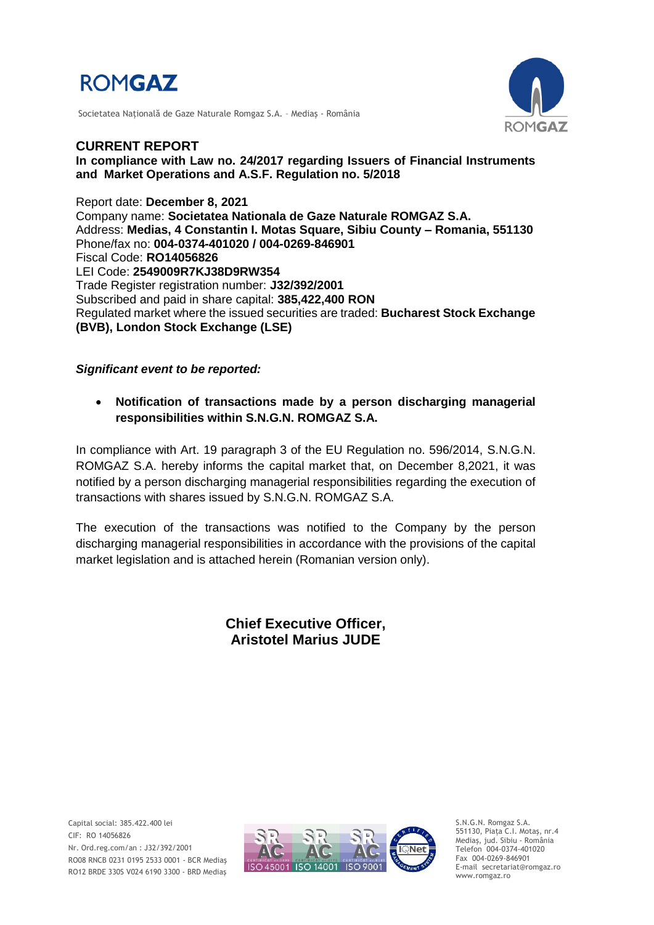

Societatea Naţională de Gaze Naturale Romgaz S.A. – Mediaş - România



**CURRENT REPORT In compliance with Law no. 24/2017 regarding Issuers of Financial Instruments and Market Operations and A.S.F. Regulation no. 5/2018**

Report date: **December 8, 2021** Company name: **Societatea Nationala de Gaze Naturale ROMGAZ S.A.** Address: **Medias, 4 Constantin I. Motas Square, Sibiu County – Romania, 551130** Phone/fax no: **004-0374-401020 / 004-0269-846901** Fiscal Code: **RO14056826** LEI Code: **2549009R7KJ38D9RW354** Trade Register registration number: **J32/392/2001** Subscribed and paid in share capital: **385,422,400 RON** Regulated market where the issued securities are traded: **Bucharest Stock Exchange (BVB), London Stock Exchange (LSE)**

## *Significant event to be reported:*

 **Notification of transactions made by a person discharging managerial responsibilities within S.N.G.N. ROMGAZ S.A.**

In compliance with Art. 19 paragraph 3 of the EU Regulation no. 596/2014, S.N.G.N. ROMGAZ S.A. hereby informs the capital market that, on December 8,2021, it was notified by a person discharging managerial responsibilities regarding the execution of transactions with shares issued by S.N.G.N. ROMGAZ S.A.

The execution of the transactions was notified to the Company by the person discharging managerial responsibilities in accordance with the provisions of the capital market legislation and is attached herein (Romanian version only).

## **Chief Executive Officer, Aristotel Marius JUDE**



S.N.G.N. Romgaz S.A. 551130, Piața C.I. Motaş, nr.4 Mediaş, jud. Sibiu - România Telefon 004-0374-401020 Fax 004-0269-846901 E-mail secretariat@romgaz.ro www.romgaz.ro